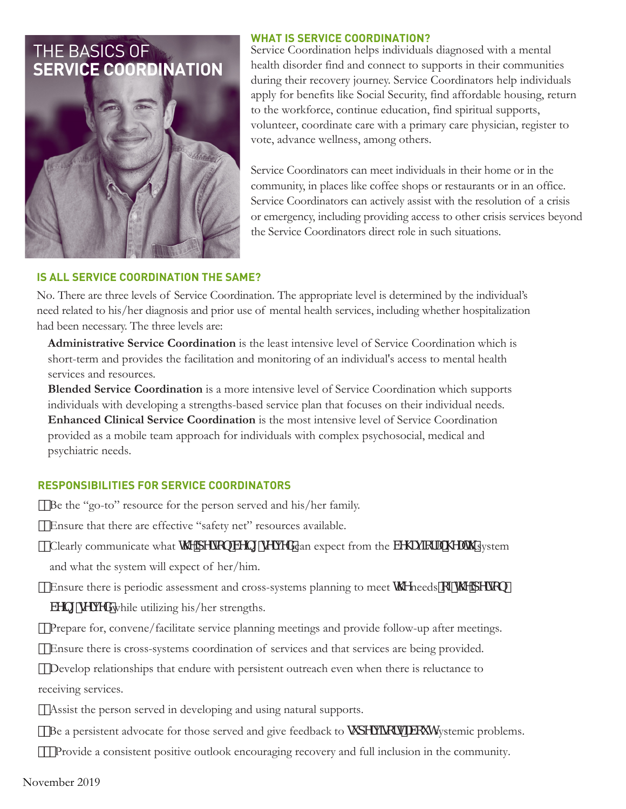# THE BASICS OF **SERVICE COORDINATION**



## **WHAT IS SERVICE COORDINATION?**

Service Coordination helps individuals diagnosed with a mental health disorder find and connect to supports in their communities during their recovery journey. Service Coordinators help individuals apply for benefits like Social Security, find affordable housing, return to the workforce, continue education, find spiritual supports, volunteer, coordinate care with a primary care physician, register to vote, advance wellness, among others.

Service Coordinators can meet individuals in their home or in the community, in places like coffee shops or restaurants or in an office. Service Coordinators can actively assist with the resolution of a crisis or emergency, including providing access to other crisis services beyond the Service Coordinators direct role in such situations.

# **IS ALL SERVICE COORDINATION THE SAME?**

No. There are three levels of Service Coordination. The appropriate level is determined by the individual's need related to his/her diagnosis and prior use of mental health services, including whether hospitalization had been necessary. The three levels are:

 **Administrative Service Coordination** is the least intensive level of Service Coordination which is short-term and provides the facilitation and monitoring of an individual's access to mental health services and resources*.* 

**Blended Service Coordination** is a more intensive level of Service Coordination which supports individuals with developing a strengths-based service plan that focuses on their individual needs. **Enhanced Clinical Service Coordination** is the most intensive level of Service Coordination provided as a mobile team approach for individuals with complex psychosocial, medical and psychiatric needs.

# **RESPONSIBILITIES FOR SERVICE COORDINATORS**

Be the "go-to" resource for the person served and his/her family.

Ensure that there are effective "safety net" resources available.

"Clearly communicate what h YdYfgcb VY|b| gYfj YXcan expect from the VY\U cfU \ VUh system and what the system will expect of her/him.

("Ensure there is periodic assessment and cross-systems planning to meet  $hY$  needs  $cZhYdYg$ Wh gM YXwhile utilizing his/her strengths.

Prepare for, convene/facilitate service planning meetings and provide follow-up after meetings.

Ensure there is cross-systems coordination of services and that services are being provided.

 Develop relationships that endure with persistent outreach even when there is reluctance to receiving services.

- Assist the person served in developing and using natural supports.
- "Be a persistent advocate for those served and give feedback to g dYf |gcfgU/ci hsystemic problems.

Provide a consistent positive outlook encouraging recovery and full inclusion in the community.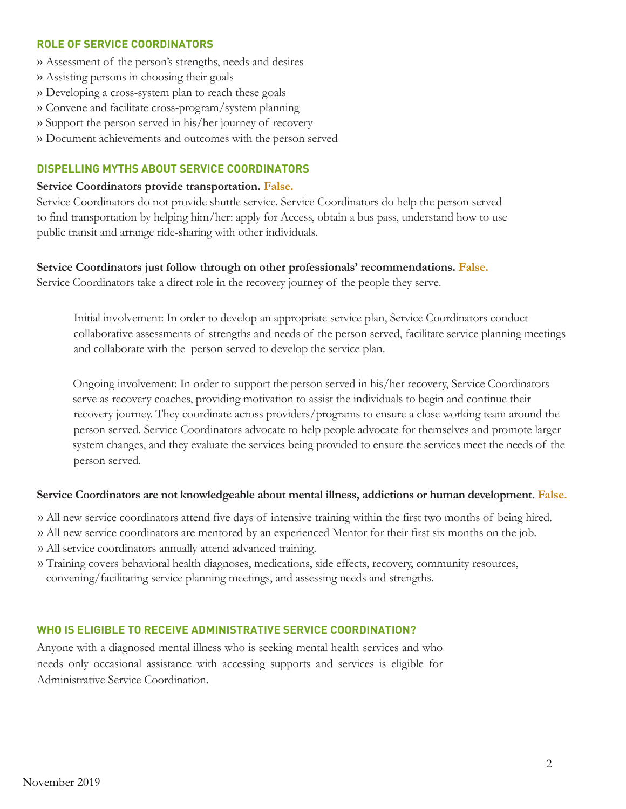#### **ROLE OF SERVICE COORDINATORS**

- » Assessment of the person's strengths, needs and desires
- » Assisting persons in choosing their goals
- » Developing a cross-system plan to reach these goals
- » Convene and facilitate cross-program/system planning
- » Support the person served in his/her journey of recovery
- » Document achievements and outcomes with the person served

#### **DISPELLING MYTHS ABOUT SERVICE COORDINATORS**

#### **Service Coordinators provide transportation. False.**

Service Coordinators do not provide shuttle service. Service Coordinators do help the person served to find transportation by helping him/her: apply for Access, obtain a bus pass, understand how to use public transit and arrange ride-sharing with other individuals.

#### **Service Coordinators just follow through on other professionals' recommendations. False.**

Service Coordinators take a direct role in the recovery journey of the people they serve.

Initial involvement: In order to develop an appropriate service plan, Service Coordinators conduct collaborative assessments of strengths and needs of the person served, facilitate service planning meetings and collaborate with the person served to develop the service plan.

Ongoing involvement: In order to support the person served in his/her recovery, Service Coordinators serve as recovery coaches, providing motivation to assist the individuals to begin and continue their recovery journey. They coordinate across providers/programs to ensure a close working team around the person served. Service Coordinators advocate to help people advocate for themselves and promote larger system changes, and they evaluate the services being provided to ensure the services meet the needs of the person served.

#### **Service Coordinators are not knowledgeable about mental illness, addictions or human development. False.**

- » All new service coordinators attend five days of intensive training within the first two months of being hired.
- » All new service coordinators are mentored by an experienced Mentor for their first six months on the job.
- » All service coordinators annually attend advanced training.
- » Training covers behavioral health diagnoses, medications, side effects, recovery, community resources, convening/facilitating service planning meetings, and assessing needs and strengths.

#### **WHO IS ELIGIBLE TO RECEIVE ADMINISTRATIVE SERVICE COORDINATION?**

Anyone with a diagnosed mental illness who is seeking mental health services and who needs only occasional assistance with accessing supports and services is eligible for Administrative Service Coordination.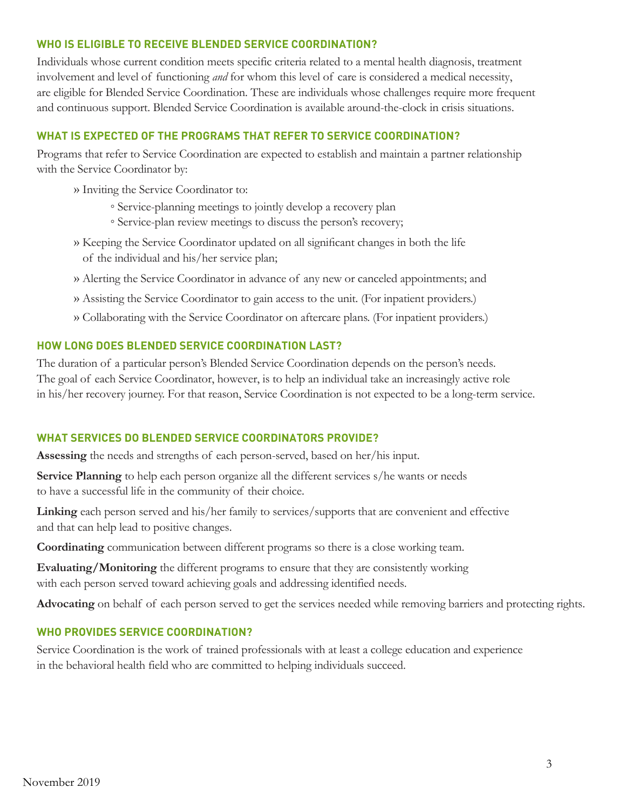## **WHO IS ELIGIBLE TO RECEIVE BLENDED SERVICE COORDINATION?**

Individuals whose current condition meets specific criteria related to a mental health diagnosis, treatment involvement and level of functioning *and* for whom this level of care is considered a medical necessity, are eligible for Blended Service Coordination. These are individuals whose challenges require more frequent and continuous support. Blended Service Coordination is available around-the-clock in crisis situations.

# **WHAT IS EXPECTED OF THE PROGRAMS THAT REFER TO SERVICE COORDINATION?**

Programs that refer to Service Coordination are expected to establish and maintain a partner relationship with the Service Coordinator by:

- » Inviting the Service Coordinator to:
	- Service-planning meetings to jointly develop a recovery plan
	- Service-plan review meetings to discuss the person's recovery;
- » Keeping the Service Coordinator updated on all significant changes in both the life of the individual and his/her service plan;
- » Alerting the Service Coordinator in advance of any new or canceled appointments; and
- » Assisting the Service Coordinator to gain access to the unit. (For inpatient providers.)
- » Collaborating with the Service Coordinator on aftercare plans. (For inpatient providers.)

#### **HOW LONG DOES BLENDED SERVICE COORDINATION LAST?**

The duration of a particular person's Blended Service Coordination depends on the person's needs. The goal of each Service Coordinator, however, is to help an individual take an increasingly active role in his/her recovery journey. For that reason, Service Coordination is not expected to be a long-term service.

## **WHAT SERVICES DO BLENDED SERVICE COORDINATORS PROVIDE?**

**Assessing** the needs and strengths of each person-served, based on her/his input.

**Service Planning** to help each person organize all the different services s/he wants or needs to have a successful life in the community of their choice.

**Linking** each person served and his/her family to services/supports that are convenient and effective and that can help lead to positive changes.

**Coordinating** communication between different programs so there is a close working team.

**Evaluating/Monitoring** the different programs to ensure that they are consistently working with each person served toward achieving goals and addressing identified needs.

**Advocating** on behalf of each person served to get the services needed while removing barriers and protecting rights.

### **WHO PROVIDES SERVICE COORDINATION?**

Service Coordination is the work of trained professionals with at least a college education and experience in the behavioral health field who are committed to helping individuals succeed.